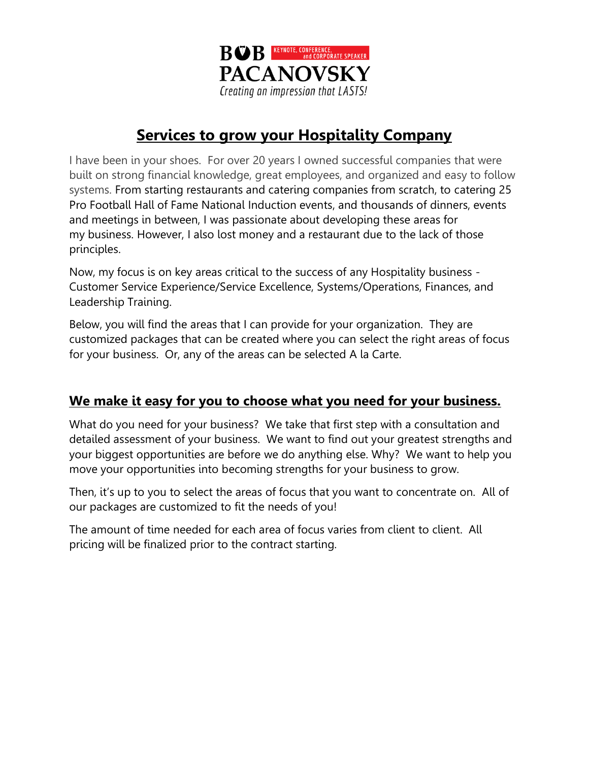

# **Services to grow your Hospitality Company**

I have been in your shoes. For over 20 years I owned successful companies that were built on strong financial knowledge, great employees, and organized and easy to follow systems. From starting restaurants and catering companies from scratch, to catering 25 Pro Football Hall of Fame National Induction events, and thousands of dinners, events and meetings in between, I was passionate about developing these areas for my business. However, I also lost money and a restaurant due to the lack of those principles.

Now, my focus is on key areas critical to the success of any Hospitality business - Customer Service Experience/Service Excellence, Systems/Operations, Finances, and Leadership Training.

Below, you will find the areas that I can provide for your organization. They are customized packages that can be created where you can select the right areas of focus for your business. Or, any of the areas can be selected A la Carte.

### **We make it easy for you to choose what you need for your business.**

What do you need for your business? We take that first step with a consultation and detailed assessment of your business. We want to find out your greatest strengths and your biggest opportunities are before we do anything else. Why? We want to help you move your opportunities into becoming strengths for your business to grow.

Then, it's up to you to select the areas of focus that you want to concentrate on. All of our packages are customized to fit the needs of you!

The amount of time needed for each area of focus varies from client to client. All pricing will be finalized prior to the contract starting.